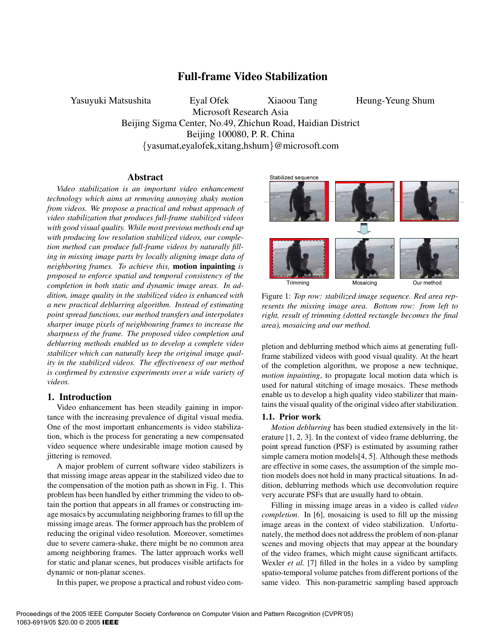# Full-frame Video Stabilization

Yasuyuki Matsushita Eyal Ofek Xiaoou Tang Heung-Yeung Shum

Microsoft Research Asia Beijing Sigma Center, No.49, Zhichun Road, Haidian District Beijing 100080, P. R. China {yasumat,eyalofek,xitang,hshum}@microsoft.com

# Abstract

*Video stabilization is an important video enhancement technology which aims at removing annoying shaky motion from videos. We propose a practical and robust approach of video stabilization that produces full-frame stabilized videos with good visual quality. While most previous methods end up with producing low resolution stabilized videos, our completion method can produce full-frame videos by naturally filling in missing image parts by locally aligning image data of neighboring frames. To achieve this,* motion inpainting *is proposed to enforce spatial and temporal consistency of the completion in both static and dynamic image areas. In addition, image quality in the stabilized video is enhanced with a new practical deblurring algorithm. Instead of estimating point spread functions, our method transfers and interpolates sharper image pixels of neighbouring frames to increase the sharpness of the frame. The proposed video completion and deblurring methods enabled us to develop a complete video stabilizer which can naturally keep the original image quality in the stabilized videos. The effectiveness of our method is confirmed by extensive experiments over a wide variety of videos.*

# 1. Introduction

Video enhancement has been steadily gaining in importance with the increasing prevalence of digital visual media. One of the most important enhancements is video stabilization, which is the process for generating a new compensated video sequence where undesirable image motion caused by jittering is removed.

A major problem of current software video stabilizers is that missing image areas appear in the stabilized video due to the compensation of the motion path as shown in Fig. 1. This problem has been handled by either trimming the video to obtain the portion that appears in all frames or constructing image mosaics by accumulating neighboring frames to fill up the missing image areas. The former approach has the problem of reducing the original video resolution. Moreover, sometimes due to severe camera-shake, there might be no common area among neighboring frames. The latter approach works well for static and planar scenes, but produces visible artifacts for dynamic or non-planar scenes.

In this paper, we propose a practical and robust video com-



Figure 1: *Top row: stabilized image sequence. Red area represents the missing image area. Bottom row: from left to right, result of trimming (dotted rectangle becomes the final area), mosaicing and our method.*

pletion and deblurring method which aims at generating fullframe stabilized videos with good visual quality. At the heart of the completion algorithm, we propose a new technique, *motion inpainting*, to propagate local motion data which is used for natural stitching of image mosaics. These methods enable us to develop a high quality video stabilizer that maintains the visual quality of the original video after stabilization.

#### 1.1. Prior work

*Motion deblurring* has been studied extensively in the literature [1, 2, 3]. In the context of video frame deblurring, the point spread function (PSF) is estimated by assuming rather simple camera motion models[4, 5]. Although these methods are effective in some cases, the assumption of the simple motion models does not hold in many practical situations. In addition, deblurring methods which use deconvolution require very accurate PSFs that are usually hard to obtain.

Filling in missing image areas in a video is called *video completion*. In [6], mosaicing is used to fill up the missing image areas in the context of video stabilization. Unfortunately, the method does not address the problem of non-planar scenes and moving objects that may appear at the boundary of the video frames, which might cause significant artifacts. Wexler *et al.* [7] filled in the holes in a video by sampling spatio-temporal volume patches from different portions of the same video. This non-parametric sampling based approach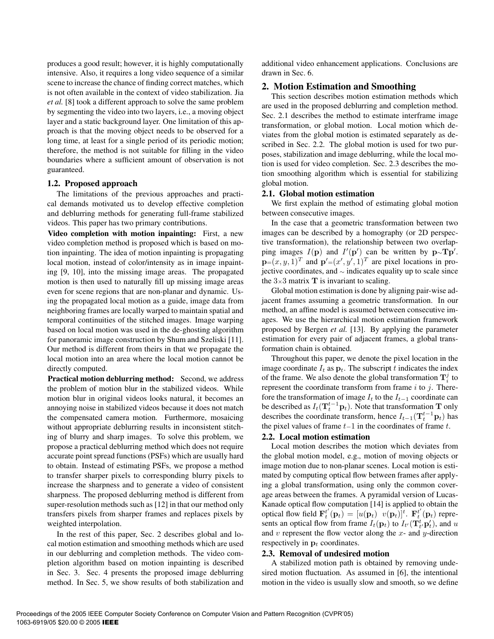produces a good result; however, it is highly computationally intensive. Also, it requires a long video sequence of a similar scene to increase the chance of finding correct matches, which is not often available in the context of video stabilization. Jia *et al.* [8] took a different approach to solve the same problem by segmenting the video into two layers, i.e., a moving object layer and a static background layer. One limitation of this approach is that the moving object needs to be observed for a long time, at least for a single period of its periodic motion; therefore, the method is not suitable for filling in the video boundaries where a sufficient amount of observation is not guaranteed.

#### 1.2. Proposed approach

The limitations of the previous approaches and practical demands motivated us to develop effective completion and deblurring methods for generating full-frame stabilized videos. This paper has two primary contributions.

Video completion with motion inpainting: First, a new video completion method is proposed which is based on motion inpainting. The idea of motion inpainting is propagating local motion, instead of color/intensity as in image inpainting [9, 10], into the missing image areas. The propagated motion is then used to naturally fill up missing image areas even for scene regions that are non-planar and dynamic. Using the propagated local motion as a guide, image data from neighboring frames are locally warped to maintain spatial and temporal continuities of the stitched images. Image warping based on local motion was used in the de-ghosting algorithm for panoramic image construction by Shum and Szeliski [11]. Our method is different from theirs in that we propagate the local motion into an area where the local motion cannot be directly computed.

Practical motion deblurring method: Second, we address the problem of motion blur in the stabilized videos. While motion blur in original videos looks natural, it becomes an annoying noise in stabilized videos because it does not match the compensated camera motion. Furthermore, mosaicing without appropriate deblurring results in inconsistent stitching of blurry and sharp images. To solve this problem, we propose a practical deblurring method which does not require accurate point spread functions (PSFs) which are usually hard to obtain. Instead of estimating PSFs, we propose a method to transfer sharper pixels to corresponding blurry pixels to increase the sharpness and to generate a video of consistent sharpness. The proposed deblurring method is different from super-resolution methods such as [12] in that our method only transfers pixels from sharper frames and replaces pixels by weighted interpolation.

In the rest of this paper, Sec. 2 describes global and local motion estimation and smoothing methods which are used in our deblurring and completion methods. The video completion algorithm based on motion inpainting is described in Sec. 3. Sec. 4 presents the proposed image deblurring method. In Sec. 5, we show results of both stabilization and additional video enhancement applications. Conclusions are drawn in Sec. 6.

# 2. Motion Estimation and Smoothing

This section describes motion estimation methods which are used in the proposed deblurring and completion method. Sec. 2.1 describes the method to estimate interframe image transformation, or global motion. Local motion which deviates from the global motion is estimated separately as described in Sec. 2.2. The global motion is used for two purposes, stabilization and image deblurring, while the local motion is used for video completion. Sec. 2.3 describes the motion smoothing algorithm which is essential for stabilizing global motion.

#### 2.1. Global motion estimation

We first explain the method of estimating global motion between consecutive images.

In the case that a geometric transformation between two images can be described by a homography (or 2D perspective transformation), the relationship between two overlapping images  $I(\mathbf{p})$  and  $I'(\mathbf{p}')$  can be written by  $\mathbf{p} \sim \mathbf{Tp}'$ .  $\mathbf{p}=(x, y, 1)^T$  and  $\mathbf{p}'=(x', y', 1)^T$  are pixel locations in projective coordinates, and <sup>∼</sup> indicates equality up to scale since the  $3\times3$  matrix **T** is invariant to scaling.

Global motion estimation is done by aligning pair-wise adjacent frames assuming a geometric transformation. In our method, an affine model is assumed between consecutive images. We use the hierarchical motion estimation framework proposed by Bergen *et al.* [13]. By applying the parameter estimation for every pair of adjacent frames, a global transformation chain is obtained.

Throughout this paper, we denote the pixel location in the image coordinate  $I_t$  as  $\mathbf{p}_t$ . The subscript t indicates the index of the frame. We also denote the global transformation  $\mathbf{T}_i^j$  to represent the coordinate transform from frame  $i$  to  $j$ . Therefore the transformation of image  $I_t$  to the  $I_{t-1}$  coordinate can be described as  $I_t(\mathbf{T}_t^{t-1} \mathbf{p}_t)$ . Note that transformation **T** only describes the coordinate transform, hence  $I_{t-1}(\mathbf{T}_t^{t-1} \mathbf{p}_t)$  has the pixel values of frame  $t-1$  in the coordinates of frame  $t$ .

#### 2.2. Local motion estimation

Local motion describes the motion which deviates from the global motion model, e.g., motion of moving objects or image motion due to non-planar scenes. Local motion is estimated by computing optical flow between frames after applying a global transformation, using only the common coverage areas between the frames. A pyramidal version of Lucas-Kanade optical flow computation [14] is applied to obtain the optical flow field  $\mathbf{F}_t^{t'}(\mathbf{p}_t)=[u(\mathbf{p}_t) \ \ v(\mathbf{p}_t)]^t$ .  $\mathbf{F}_t^{t'}(\mathbf{p}_t)$  represents an optical flow from frame  $I_t(\mathbf{p}_t)$  to  $I_{t'}(\mathbf{T}_{t'}^t \mathbf{p}_t')$ , and u and  $v$  represent the flow vector along the  $x$ - and  $y$ -direction respectively in  $\mathbf{p}_t$  coordinates.

#### 2.3. Removal of undesired motion

A stabilized motion path is obtained by removing undesired motion fluctuation. As assumed in [6], the intentional motion in the video is usually slow and smooth, so we define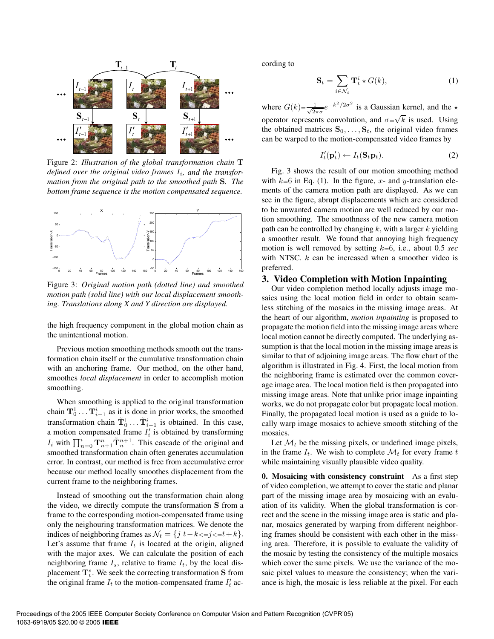

Figure 2: *Illustration of the global transformation chain* **T** defined over the original video frames  $I_i$ , and the transfor*mation from the original path to the smoothed path* **S***. The bottom frame sequence is the motion compensated sequence.*



Figure 3: *Original motion path (dotted line) and smoothed motion path (solid line) with our local displacement smoothing. Translations along X and Y direction are displayed.*

the high frequency component in the global motion chain as the unintentional motion.

Previous motion smoothing methods smooth out the transformation chain itself or the cumulative transformation chain with an anchoring frame. Our method, on the other hand, smoothes *local displacement* in order to accomplish motion smoothing.

When smoothing is applied to the original transformation chain  $\mathbf{T}_0^1 \dots \mathbf{T}_{i-1}^i$  as it is done in prior works, the smoothed transformation chain  $\tilde{\mathbf{T}}_0^1 \dots \tilde{\mathbf{T}}_{i-1}^i$  is obtained. In this case, a motion compensated frame  $I_i'$  is obtained by transforming  $I_i$  with  $\prod_{n=0}^i \mathbf{T}_{n+1}^n \tilde{\mathbf{T}}_n^{n+1}$ . This cascade of the original and smoothed transformation chain often generates accumulation error. In contrast, our method is free from accumulative error because our method locally smoothes displacement from the current frame to the neighboring frames.

Instead of smoothing out the transformation chain along the video, we directly compute the transformation **S** from a frame to the corresponding motion-compensated frame using only the neighouring transformation matrices. We denote the indices of neighboring frames as  $\mathcal{N}_t = \{j | t - k \leq j \leq t + k \}.$ Let's assume that frame  $I_t$  is located at the origin, aligned with the major axes. We can calculate the position of each neighboring frame  $I_s$ , relative to frame  $I_t$ , by the local displacement  $\mathbf{T}_t^s$ . We seek the correcting transformation **S** from the original frame  $I_t$  to the motion-compensated frame  $I'_t$  according to

$$
\mathbf{S}_t = \sum_{i \in \mathcal{N}_t} \mathbf{T}_t^i \star G(k),\tag{1}
$$

where  $G(k) = \frac{1}{\sqrt{2\pi\sigma}} e^{-k^2/2\sigma^2}$  is a Gaussian kernel, and the  $\star$ operator represents convolution, and  $\sigma = \sqrt{k}$  is used. Using the obtained matrices  $S_0, \ldots, S_t$ , the original video frames can be warped to the motion-compensated video frames by

$$
I'_t(\mathbf{p}'_t) \leftarrow I_t(\mathbf{S}_t \mathbf{p}_t). \tag{2}
$$

Fig. 3 shows the result of our motion smoothing method with  $k=6$  in Eq. (1). In the figure, x- and y-translation elements of the camera motion path are displayed. As we can see in the figure, abrupt displacements which are considered to be unwanted camera motion are well reduced by our motion smoothing. The smoothness of the new camera motion path can be controlled by changing  $k$ , with a larger  $k$  yielding a smoother result. We found that annoying high frequency motion is well removed by setting k=6, i.e., about 0.5 *sec* with NTSC.  $k$  can be increased when a smoother video is preferred.

## 3. Video Completion with Motion Inpainting

Our video completion method locally adjusts image mosaics using the local motion field in order to obtain seamless stitching of the mosaics in the missing image areas. At the heart of our algorithm, *motion inpainting* is proposed to propagate the motion field into the missing image areas where local motion cannot be directly computed. The underlying assumption is that the local motion in the missing image areas is similar to that of adjoining image areas. The flow chart of the algorithm is illustrated in Fig. 4. First, the local motion from the neighboring frame is estimated over the common coverage image area. The local motion field is then propagated into missing image areas. Note that unlike prior image inpainting works, we do not propagate color but propagate local motion. Finally, the propagated local motion is used as a guide to locally warp image mosaics to achieve smooth stitching of the mosaics.

Let  $\mathcal{M}_t$  be the missing pixels, or undefined image pixels, in the frame  $I_t$ . We wish to complete  $\mathcal{M}_t$  for every frame t while maintaining visually plausible video quality.

0. Mosaicing with consistency constraint As a first step of video completion, we attempt to cover the static and planar part of the missing image area by mosaicing with an evaluation of its validity. When the global transformation is correct and the scene in the missing image area is static and planar, mosaics generated by warping from different neighboring frames should be consistent with each other in the missing area. Therefore, it is possible to evaluate the validity of the mosaic by testing the consistency of the multiple mosaics which cover the same pixels. We use the variance of the mosaic pixel values to measure the consistency; when the variance is high, the mosaic is less reliable at the pixel. For each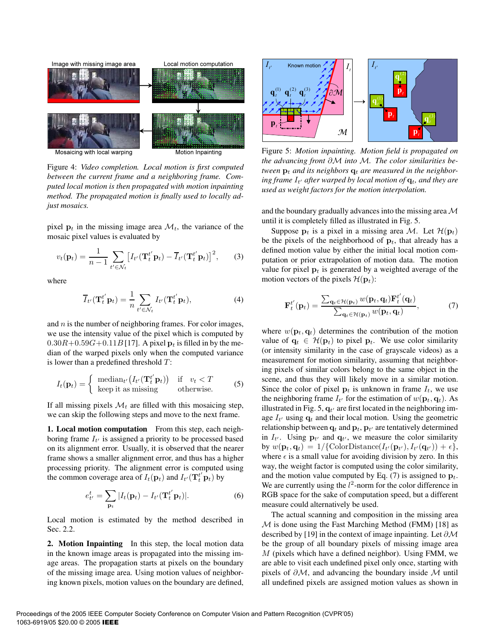

Figure 4: *Video completion. Local motion is first computed between the current frame and a neighboring frame. Computed local motion is then propagated with motion inpainting method. The propagated motion is finally used to locally adjust mosaics.*

pixel  $\mathbf{p}_t$  in the missing image area  $\mathcal{M}_t$ , the variance of the mosaic pixel values is evaluated by

$$
v_t(\mathbf{p}_t) = \frac{1}{n-1} \sum_{t' \in \mathcal{N}_t} \left[ I_{t'}(\mathbf{T}_t^{t'} \mathbf{p}_t) - \overline{I}_{t'}(\mathbf{T}_t^{t'} \mathbf{p}_t) \right]^2, \tag{3}
$$

where

$$
\overline{I}_{t'}(\mathbf{T}_{t}^{t'}\mathbf{p}_{t}) = \frac{1}{n} \sum_{t' \in \mathcal{N}_{t}} I_{t'}(\mathbf{T}_{t}^{t'}\mathbf{p}_{t}), \tag{4}
$$

and  $n$  is the number of neighboring frames. For color images, we use the intensity value of the pixel which is computed by  $0.30R+0.59G+0.11B$  [17]. A pixel  $p_t$  is filled in by the median of the warped pixels only when the computed variance is lower than a predefined threshold  $T$ :

$$
I_t(\mathbf{p}_t) = \begin{cases} \text{median}_{t'}(I_{t'}(\mathbf{T}_t^{t'} \mathbf{p}_t)) & \text{if } v_t < T \\ \text{keep it as missing} & \text{otherwise.} \end{cases}
$$
 (5)

If all missing pixels  $\mathcal{M}_t$  are filled with this mosaicing step, we can skip the following steps and move to the next frame.

1. Local motion computation From this step, each neighboring frame  $I_{t'}$  is assigned a priority to be processed based on its alignment error. Usually, it is observed that the nearer frame shows a smaller alignment error, and thus has a higher processing priority. The alignment error is computed using the common coverage area of  $I_t(\mathbf{p}_t)$  and  $I_{t'}(\mathbf{T}_t^{t'} \mathbf{p}_t)$  by

$$
e_{t'}^t = \sum_{\mathbf{p}_t} |I_t(\mathbf{p}_t) - I_{t'}(\mathbf{T}_t^{t'} \mathbf{p}_t)|.
$$
 (6)

Local motion is estimated by the method described in Sec. 2.2.

2. Motion Inpainting In this step, the local motion data in the known image areas is propagated into the missing image areas. The propagation starts at pixels on the boundary of the missing image area. Using motion values of neighboring known pixels, motion values on the boundary are defined,



Figure 5: *Motion inpainting. Motion field is propagated on the advancing front* ∂M *into* M*. The color similarities between*  $\mathbf{p}_t$  *and its neighbors*  $\mathbf{q}_t$  *are measured in the neighboring frame*  $I_{t'}$  *after warped by local motion of*  $q_t$ *, and they are used as weight factors for the motion interpolation.*

and the boundary gradually advances into the missing area  $\mathcal{M}$ until it is completely filled as illustrated in Fig. 5.

Suppose  $\mathbf{p}_t$  is a pixel in a missing area M. Let  $\mathcal{H}(\mathbf{p}_t)$ be the pixels of the neighborhood of  $\mathbf{p}_t$ , that already has a defined motion value by either the initial local motion computation or prior extrapolation of motion data. The motion value for pixel  $\mathbf{p}_t$  is generated by a weighted average of the motion vectors of the pixels  $\mathcal{H}(\mathbf{p}_t)$ :

$$
\mathbf{F}_{t}^{t'}(\mathbf{p}_{t}) = \frac{\sum_{\mathbf{q}_{t} \in \mathcal{H}(\mathbf{p}_{t})} w(\mathbf{p}_{t}, \mathbf{q}_{t}) \mathbf{F}_{t}^{t'}(\mathbf{q}_{t})}{\sum_{\mathbf{q}_{t} \in \mathcal{H}(\mathbf{p}_{t})} w(\mathbf{p}_{t}, \mathbf{q}_{t})},
$$
(7)

where  $w(\mathbf{p}_t, \mathbf{q}_t)$  determines the contribution of the motion value of  $\mathbf{q}_t \in \mathcal{H}(\mathbf{p}_t)$  to pixel  $\mathbf{p}_t$ . We use color similarity (or intensity similarity in the case of grayscale videos) as a measurement for motion similarity, assuming that neighboring pixels of similar colors belong to the same object in the scene, and thus they will likely move in a similar motion. Since the color of pixel  $\mathbf{p}_t$  is unknown in frame  $I_t$ , we use the neighboring frame  $I_t$  for the estimation of  $w(\mathbf{p}_t, \mathbf{q}_t)$ . As illustrated in Fig. 5,  $q_t$  are first located in the neighboring image  $I_{t'}$  using  $q_t$  and their local motion. Using the geometric relationship between  $\mathbf{q}_t$  and  $\mathbf{p}_t$ ,  $\mathbf{p}_{t'}$  are tentatively determined in  $I_{t'}$ . Using  $\mathbf{p}_{t'}$  and  $\mathbf{q}_{t'}$ , we measure the color similarity by  $w(\mathbf{p}_t, \mathbf{q}_t)=1/{\text{ColorDistance}(I_{t'}(\mathbf{p}_{t'}), I_{t'}(\mathbf{q}_{t'})) + \epsilon},$ where  $\epsilon$  is a small value for avoiding division by zero. In this way, the weight factor is computed using the color similarity, and the motion value computed by Eq.  $(7)$  is assigned to  $\mathbf{p}_t$ . We are currently using the  $l^2$ -norm for the color difference in RGB space for the sake of computation speed, but a different measure could alternatively be used.

The actual scanning and composition in the missing area  $M$  is done using the Fast Marching Method (FMM) [18] as described by [19] in the context of image inpainting. Let  $\partial M$ be the group of all boundary pixels of missing image area  $M$  (pixels which have a defined neighbor). Using FMM, we are able to visit each undefined pixel only once, starting with pixels of  $\partial M$ , and advancing the boundary inside M until all undefined pixels are assigned motion values as shown in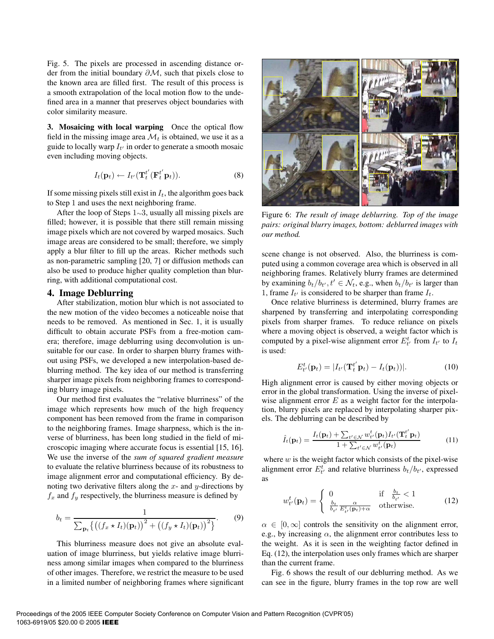Fig. 5. The pixels are processed in ascending distance order from the initial boundary ∂M, such that pixels close to the known area are filled first. The result of this process is a smooth extrapolation of the local motion flow to the undefined area in a manner that preserves object boundaries with color similarity measure.

3. Mosaicing with local warping Once the optical flow field in the missing image area  $\mathcal{M}_t$  is obtained, we use it as a guide to locally warp  $I_{t'}$  in order to generate a smooth mosaic even including moving objects.

$$
I_t(\mathbf{p}_t) \leftarrow I_{t'}(\mathbf{T}_t^{t'}(\mathbf{F}_t^{t'} \mathbf{p}_t)).
$$
\n(8)

If some missing pixels still exist in  $I_t$ , the algorithm goes back to Step 1 and uses the next neighboring frame.

After the loop of Steps 1∼3, usually all missing pixels are filled; however, it is possible that there still remain missing image pixels which are not covered by warped mosaics. Such image areas are considered to be small; therefore, we simply apply a blur filter to fill up the areas. Richer methods such as non-parametric sampling [20, 7] or diffusion methods can also be used to produce higher quality completion than blurring, with additional computational cost.

### 4. Image Deblurring

After stabilization, motion blur which is not associated to the new motion of the video becomes a noticeable noise that needs to be removed. As mentioned in Sec. 1, it is usually difficult to obtain accurate PSFs from a free-motion camera; therefore, image deblurring using deconvolution is unsuitable for our case. In order to sharpen blurry frames without using PSFs, we developed a new interpolation-based deblurring method. The key idea of our method is transferring sharper image pixels from neighboring frames to corresponding blurry image pixels.

Our method first evaluates the "relative blurriness" of the image which represents how much of the high frequency component has been removed from the frame in comparison to the neighboring frames. Image sharpness, which is the inverse of blurriness, has been long studied in the field of microscopic imaging where accurate focus is essential [15, 16]. We use the inverse of the *sum of squared gradient measure* to evaluate the relative blurriness because of its robustness to image alignment error and computational efficiency. By denoting two derivative filters along the  $x$ - and  $y$ -directions by  $f_x$  and  $f_y$  respectively, the blurriness measure is defined by

$$
b_t = \frac{1}{\sum_{\mathbf{p}_t} \left\{ \left( (f_x \star I_t)(\mathbf{p}_t) \right)^2 + \left( (f_y \star I_t)(\mathbf{p}_t) \right)^2 \right\}}.
$$
(9)

This blurriness measure does not give an absolute evaluation of image blurriness, but yields relative image blurriness among similar images when compared to the blurriness of other images. Therefore, we restrict the measure to be used in a limited number of neighboring frames where significant



Figure 6: *The result of image deblurring. Top of the image pairs: original blurry images, bottom: deblurred images with our method.*

scene change is not observed. Also, the blurriness is computed using a common coverage area which is observed in all neighboring frames. Relatively blurry frames are determined by examining  $b_t/b_{t'}, t' \in \mathcal{N}_t$ , e.g., when  $b_t/b_{t'}$  is larger than 1, frame  $I_{t'}$  is considered to be sharper than frame  $I_t$ .

Once relative blurriness is determined, blurry frames are sharpened by transferring and interpolating corresponding pixels from sharper frames. To reduce reliance on pixels where a moving object is observed, a weight factor which is computed by a pixel-wise alignment error  $E_t^t$  from  $I_{t'}$  to  $I_t$ is used:

$$
E_{t'}^{t}(\mathbf{p}_t) = |I_{t'}(\mathbf{T}_t^{t'} \mathbf{p}_t) - I_{t}(\mathbf{p}_t))|.
$$
 (10)

High alignment error is caused by either moving objects or error in the global transformation. Using the inverse of pixelwise alignment error  $E$  as a weight factor for the interpolation, blurry pixels are replaced by interpolating sharper pixels. The deblurring can be described by

$$
\hat{I}_t(\mathbf{p}_t) = \frac{I_t(\mathbf{p}_t) + \sum_{t' \in \mathcal{N}} w_{t'}^t(\mathbf{p}_t) I_{t'}(\mathbf{T}_t^{t'} \mathbf{p}_t)}{1 + \sum_{t' \in \mathcal{N}} w_{t'}^t(\mathbf{p}_t)}
$$
(11)

where  $w$  is the weight factor which consists of the pixel-wise alignment error  $E_{t'}^t$  and relative blurriness  $b_t/b_{t'}$ , expressed as

$$
w_{t'}^t(\mathbf{p}_t) = \begin{cases} 0 & \text{if } \frac{b_t}{b_{t'}} < 1\\ \frac{b_t}{b_{t'}} \frac{\alpha}{E_{t'}^t(\mathbf{p}_t) + \alpha} & \text{otherwise.} \end{cases}
$$
(12)

 $\alpha \in [0,\infty]$  controls the sensitivity on the alignment error, e.g., by increasing  $\alpha$ , the alignment error contributes less to the weight. As it is seen in the weighting factor defined in Eq. (12), the interpolation uses only frames which are sharper than the current frame.

Fig. 6 shows the result of our deblurring method. As we can see in the figure, blurry frames in the top row are well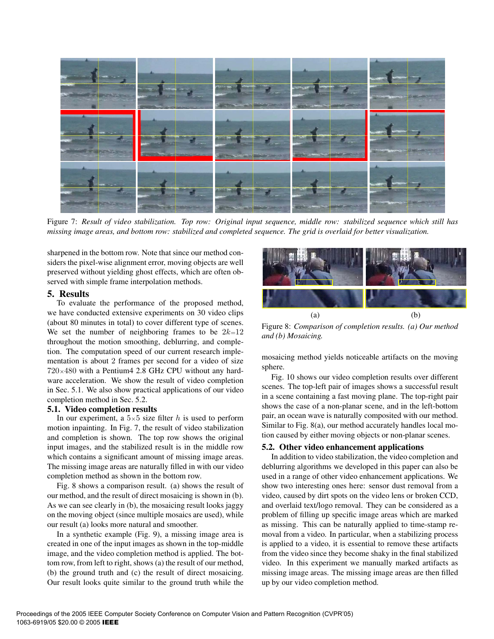

Figure 7: *Result of video stabilization. Top row: Original input sequence, middle row: stabilized sequence which still has missing image areas, and bottom row: stabilized and completed sequence. The grid is overlaid for better visualization.*

sharpened in the bottom row. Note that since our method considers the pixel-wise alignment error, moving objects are well preserved without yielding ghost effects, which are often observed with simple frame interpolation methods.

#### 5. Results

To evaluate the performance of the proposed method, we have conducted extensive experiments on 30 video clips (about 80 minutes in total) to cover different type of scenes. We set the number of neighboring frames to be  $2k=12$ throughout the motion smoothing, deblurring, and completion. The computation speed of our current research implementation is about 2 frames per second for a video of size  $720\times480$  with a Pentium4 2.8 GHz CPU without any hardware acceleration. We show the result of video completion in Sec. 5.1. We also show practical applications of our video completion method in Sec. 5.2.

# 5.1. Video completion results

In our experiment, a  $5\times 5$  size filter h is used to perform motion inpainting. In Fig. 7, the result of video stabilization and completion is shown. The top row shows the original input images, and the stabilized result is in the middle row which contains a significant amount of missing image areas. The missing image areas are naturally filled in with our video completion method as shown in the bottom row.

Fig. 8 shows a comparison result. (a) shows the result of our method, and the result of direct mosaicing is shown in (b). As we can see clearly in (b), the mosaicing result looks jaggy on the moving object (since multiple mosaics are used), while our result (a) looks more natural and smoother.

In a synthetic example (Fig. 9), a missing image area is created in one of the input images as shown in the top-middle image, and the video completion method is applied. The bottom row, from left to right, shows (a) the result of our method, (b) the ground truth and (c) the result of direct mosaicing. Our result looks quite similar to the ground truth while the



Figure 8: *Comparison of completion results. (a) Our method and (b) Mosaicing.*

mosaicing method yields noticeable artifacts on the moving sphere.

Fig. 10 shows our video completion results over different scenes. The top-left pair of images shows a successful result in a scene containing a fast moving plane. The top-right pair shows the case of a non-planar scene, and in the left-bottom pair, an ocean wave is naturally composited with our method. Similar to Fig. 8(a), our method accurately handles local motion caused by either moving objects or non-planar scenes.

### 5.2. Other video enhancement applications

In addition to video stabilization, the video completion and deblurring algorithms we developed in this paper can also be used in a range of other video enhancement applications. We show two interesting ones here: sensor dust removal from a video, caused by dirt spots on the video lens or broken CCD, and overlaid text/logo removal. They can be considered as a problem of filling up specific image areas which are marked as missing. This can be naturally applied to time-stamp removal from a video. In particular, when a stabilizing process is applied to a video, it is essential to remove these artifacts from the video since they become shaky in the final stabilized video. In this experiment we manually marked artifacts as missing image areas. The missing image areas are then filled up by our video completion method.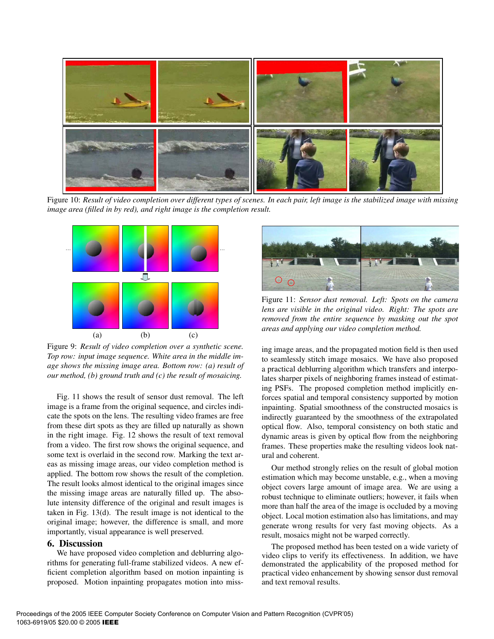

Figure 10: *Result of video completion over different types of scenes. In each pair, left image is the stabilized image with missing image area (filled in by red), and right image is the completion result.*



Figure 9: *Result of video completion over a synthetic scene. Top row: input image sequence. White area in the middle image shows the missing image area. Bottom row: (a) result of our method, (b) ground truth and (c) the result of mosaicing.*

Fig. 11 shows the result of sensor dust removal. The left image is a frame from the original sequence, and circles indicate the spots on the lens. The resulting video frames are free from these dirt spots as they are filled up naturally as shown in the right image. Fig. 12 shows the result of text removal from a video. The first row shows the original sequence, and some text is overlaid in the second row. Marking the text areas as missing image areas, our video completion method is applied. The bottom row shows the result of the completion. The result looks almost identical to the original images since the missing image areas are naturally filled up. The absolute intensity difference of the original and result images is taken in Fig. 13(d). The result image is not identical to the original image; however, the difference is small, and more importantly, visual appearance is well preserved.

#### 6. Discussion

We have proposed video completion and deblurring algorithms for generating full-frame stabilized videos. A new efficient completion algorithm based on motion inpainting is proposed. Motion inpainting propagates motion into miss-



Figure 11: *Sensor dust removal. Left: Spots on the camera lens are visible in the original video. Right: The spots are removed from the entire sequence by masking out the spot areas and applying our video completion method.*

ing image areas, and the propagated motion field is then used to seamlessly stitch image mosaics. We have also proposed a practical deblurring algorithm which transfers and interpolates sharper pixels of neighboring frames instead of estimating PSFs. The proposed completion method implicitly enforces spatial and temporal consistency supported by motion inpainting. Spatial smoothness of the constructed mosaics is indirectly guaranteed by the smoothness of the extrapolated optical flow. Also, temporal consistency on both static and dynamic areas is given by optical flow from the neighboring frames. These properties make the resulting videos look natural and coherent.

Our method strongly relies on the result of global motion estimation which may become unstable, e.g., when a moving object covers large amount of image area. We are using a robust technique to eliminate outliers; however, it fails when more than half the area of the image is occluded by a moving object. Local motion estimation also has limitations, and may generate wrong results for very fast moving objects. As a result, mosaics might not be warped correctly.

The proposed method has been tested on a wide variety of video clips to verify its effectiveness. In addition, we have demonstrated the applicability of the proposed method for practical video enhancement by showing sensor dust removal and text removal results.